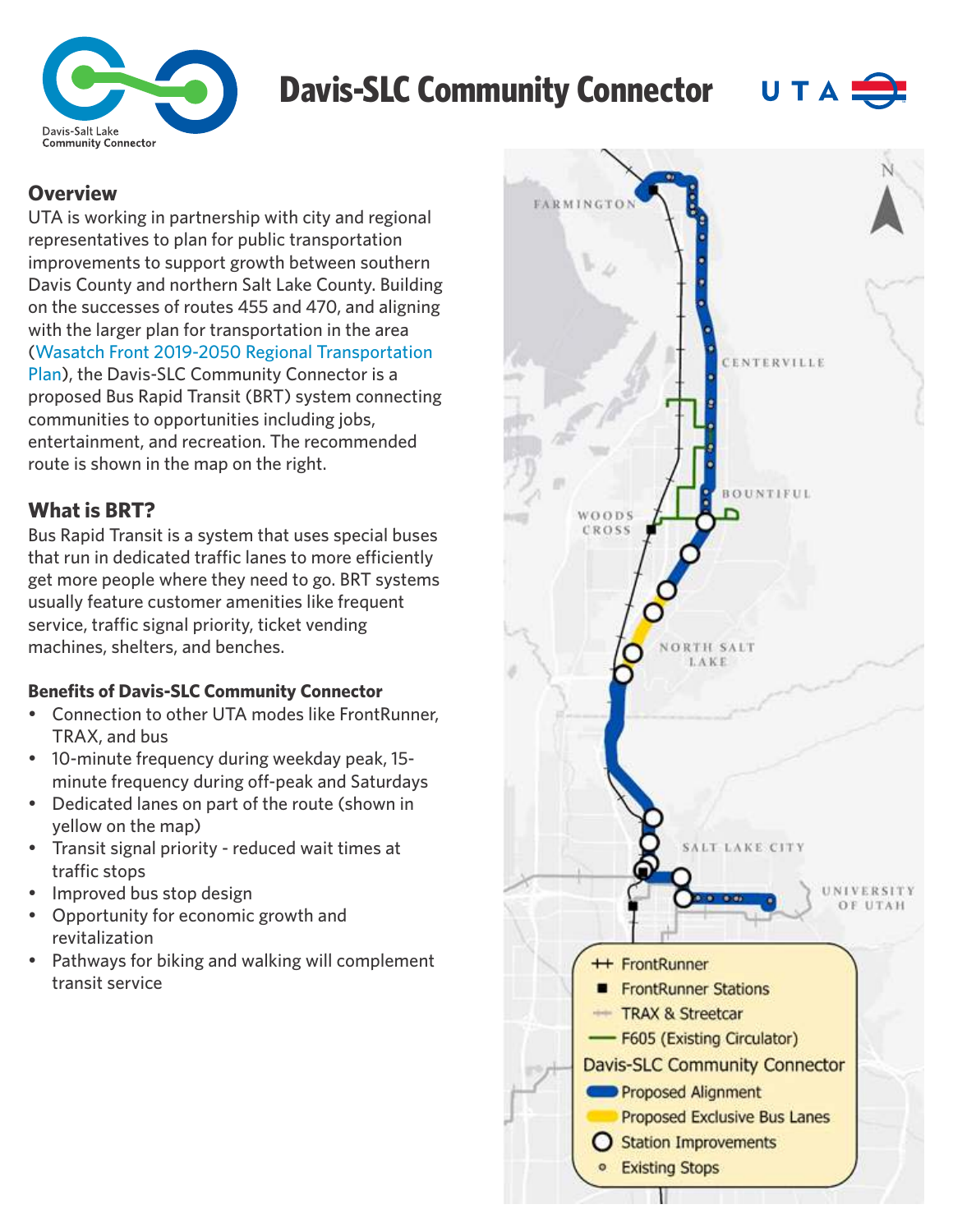

# **Davis-SLC Community Connector UT A**



#### **Overview**

UTA is working in partnership with city and regional representatives to plan for public transportation improvements to support growth between southern Davis County and northern Salt Lake County. Building on the successes of routes 455 and 470, and aligning with the larger plan for transportation in the area (Wasatch Front 2019-2050 Regional Transportation Plan), the Davis-SLC Community Connector is a [proposed Bus Rapid Transit \(BRT\) system connecting](https://wfrc.org/vision-plans/regional-transportation-plan/2019-2050-regional-transportation-plan/#:~:text=The%202019%2D2050%20RTP%20prioritizes,services%2C%20and%20active%20transportation%20facilities.)  communities to opportunities including jobs, entertainment, and recreation. The recommended route is shown in the map on the right.

### **What is BRT?**

Bus Rapid Transit is a system that uses special buses that run in dedicated traffic lanes to more efficiently get more people where they need to go. BRT systems usually feature customer amenities like frequent service, traffic signal priority, ticket vending machines, shelters, and benches.

#### **Benefits of Davis-SLC Community Connector**

- Connection to other UTA modes like FrontRunner, TRAX, and bus
- 10-minute frequency during weekday peak, 15minute frequency during off-peak and Saturdays
- Dedicated lanes on part of the route (shown in yellow on the map)
- Transit signal priority reduced wait times at traffic stops
- Improved bus stop design
- Opportunity for economic growth and revitalization
- Pathways for biking and walking will complement transit service